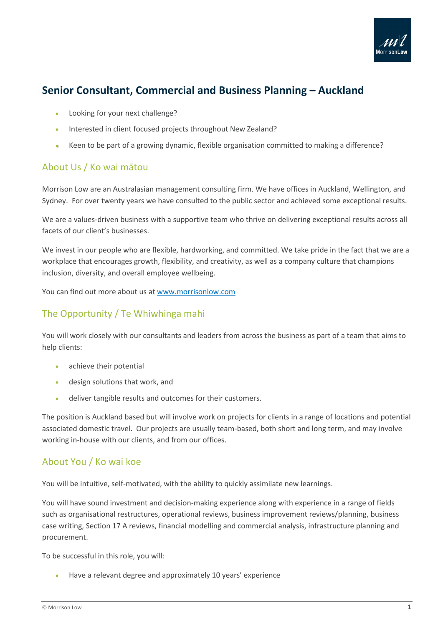

## **Senior Consultant, Commercial and Business Planning – Auckland**

- Looking for your next challenge?
- Interested in client focused projects throughout New Zealand?
- Keen to be part of a growing dynamic, flexible organisation committed to making a difference?

## About Us / Ko wai mātou

Morrison Low are an Australasian management consulting firm. We have offices in Auckland, Wellington, and Sydney. For over twenty years we have consulted to the public sector and achieved some exceptional results.

We are a values-driven business with a supportive team who thrive on delivering exceptional results across all facets of our client's businesses.

We invest in our people who are flexible, hardworking, and committed. We take pride in the fact that we are a workplace that encourages growth, flexibility, and creativity, as well as a company culture that champions inclusion, diversity, and overall employee wellbeing.

You can find out more about us at [www.morrisonlow.com](http://www.morrisonlow.com/)

## The Opportunity / Te Whiwhinga mahi

You will work closely with our consultants and leaders from across the business as part of a team that aims to help clients:

- achieve their potential
- design solutions that work, and
- deliver tangible results and outcomes for their customers.

The position is Auckland based but will involve work on projects for clients in a range of locations and potential associated domestic travel. Our projects are usually team-based, both short and long term, and may involve working in-house with our clients, and from our offices.

## About You / Ko wai koe

You will be intuitive, self-motivated, with the ability to quickly assimilate new learnings.

You will have sound investment and decision-making experience along with experience in a range of fields such as organisational restructures, operational reviews, business improvement reviews/planning, business case writing, Section 17 A reviews, financial modelling and commercial analysis, infrastructure planning and procurement.

To be successful in this role, you will:

• Have a relevant degree and approximately 10 years' experience